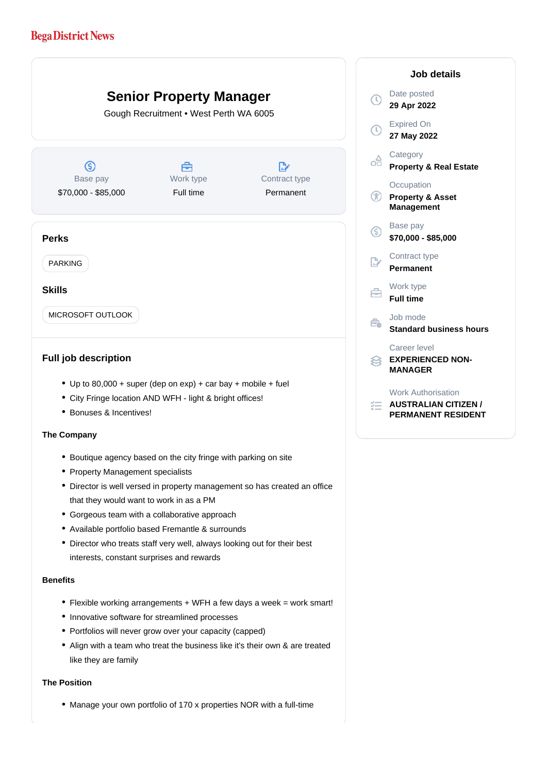# **Bega District News**

# **Senior Property Manager**  $\mathcal{L}_{\mathcal{L}}$ Gough Recruitment • West Perth WA 6005  $\circledS$ Å  $\mathbb{R}^n$ Work type Contract type Base pay \$70,000 - \$85,000 Full time Permanent **Perks** PARKING **Skills** MICROSOFT OUTLOOK

## **Full job description**

- Up to  $80,000 +$  super (dep on exp) + car bay + mobile + fuel
- City Fringe location AND WFH light & bright offices!
- Bonuses & Incentives!

### **The Company**

- Boutique agency based on the city fringe with parking on site
- Property Management specialists
- Director is well versed in property management so has created an office that they would want to work in as a PM
- Gorgeous team with a collaborative approach
- Available portfolio based Fremantle & surrounds
- Director who treats staff very well, always looking out for their best interests, constant surprises and rewards

#### **Benefits**

- Flexible working arrangements + WFH a few days a week = work smart!
- Innovative software for streamlined processes
- Portfolios will never grow over your capacity (capped)
- Align with a team who treat the business like it's their own & are treated like they are family

#### **The Position**

Manage your own portfolio of 170 x properties NOR with a full-time

| Job details    |                                                                                       |
|----------------|---------------------------------------------------------------------------------------|
| T)             | Date posted<br>29 Apr 2022                                                            |
| $\mathbb O$    | <b>Expired On</b><br>27 May 2022                                                      |
| ╬              | Category<br><b>Property &amp; Real Estate</b>                                         |
| ⊕              | Occupation<br><b>Property &amp; Asset</b><br><b>Management</b>                        |
| G              | Base pay<br>\$70,000 - \$85,000                                                       |
| $\mathbb{R}^*$ | Contract type<br><b>Permanent</b>                                                     |
| ≘              | Work type<br><b>Full time</b>                                                         |
| €              | Job mode<br><b>Standard business hours</b>                                            |
| 33             | Career level<br><b>EXPERIENCED NON-</b><br><b>MANAGER</b>                             |
|                | <b>Work Authorisation</b><br><b>AUSTRALIAN CITIZEN /</b><br><b>PERMANENT RESIDENT</b> |